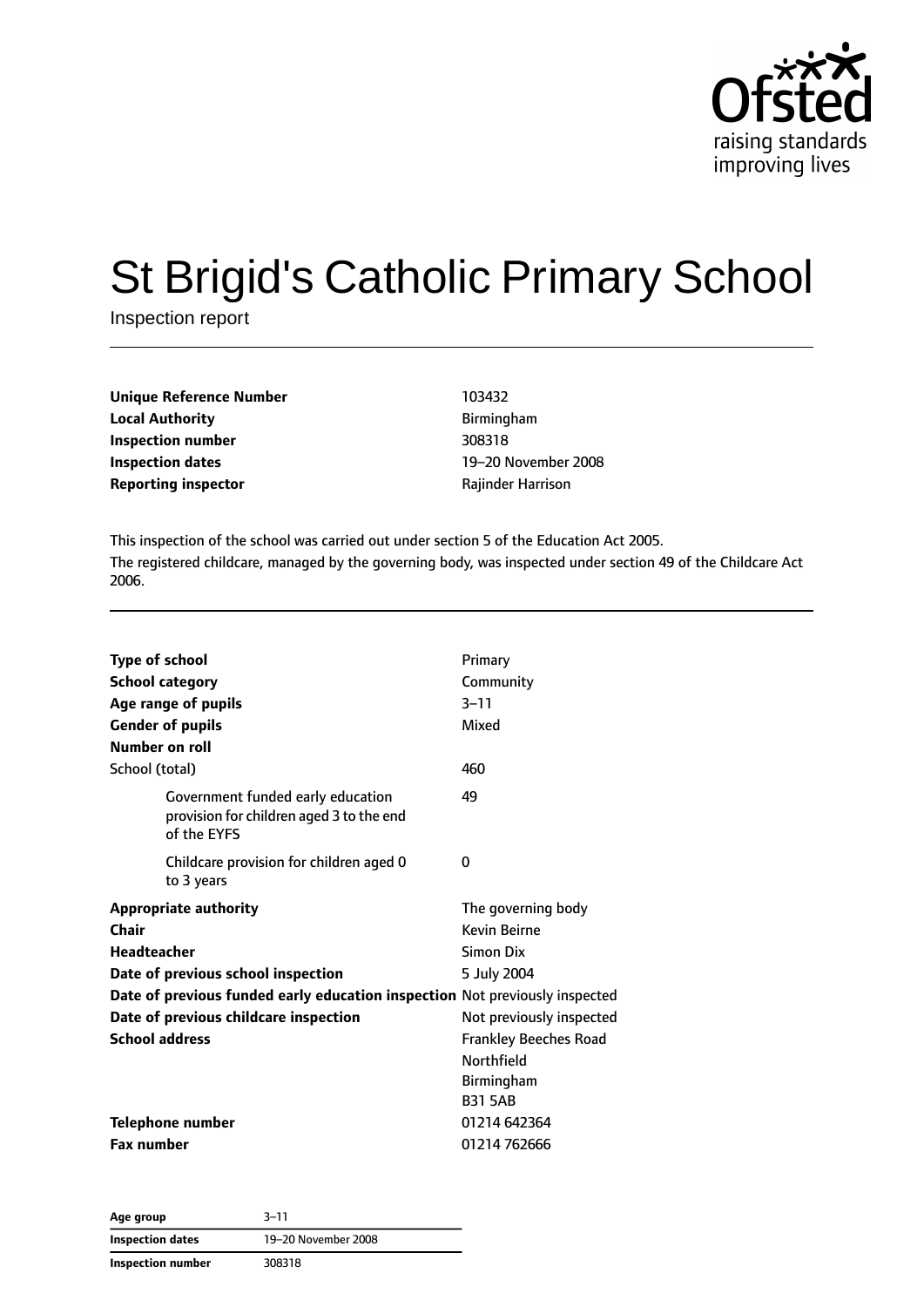

# St Brigid's Catholic Primary School

Inspection report

| <b>Unique Reference Number</b> | 103432            |  |
|--------------------------------|-------------------|--|
| <b>Local Authority</b>         | Birmingham        |  |
| Inspection number              | 308318            |  |
| Inspection dates               | 19-20 November    |  |
| <b>Reporting inspector</b>     | Rajinder Harrison |  |

**Local Authority** Birmingham **Inspection number** 308318 **Inspection dates** 19–20 November 2008

This inspection of the school was carried out under section 5 of the Education Act 2005. The registered childcare, managed by the governing body, was inspected under section 49 of the Childcare Act 2006.

| <b>Type of school</b><br><b>School category</b><br>Age range of pupils<br><b>Gender of pupils</b><br>Number on roll | Primary<br>Community<br>$3 - 11$<br>Mixed                                         |
|---------------------------------------------------------------------------------------------------------------------|-----------------------------------------------------------------------------------|
| School (total)                                                                                                      | 460                                                                               |
| Government funded early education<br>provision for children aged 3 to the end<br>of the EYFS                        | 49                                                                                |
| Childcare provision for children aged 0<br>to 3 years                                                               | 0                                                                                 |
| <b>Appropriate authority</b>                                                                                        | The governing body                                                                |
| <b>Chair</b>                                                                                                        | <b>Kevin Beirne</b>                                                               |
| <b>Headteacher</b>                                                                                                  | Simon Dix                                                                         |
| Date of previous school inspection                                                                                  | 5 July 2004                                                                       |
| Date of previous funded early education inspection Not previously inspected                                         |                                                                                   |
| Date of previous childcare inspection                                                                               | Not previously inspected                                                          |
| <b>School address</b>                                                                                               | <b>Frankley Beeches Road</b><br><b>Northfield</b><br>Birmingham<br><b>B31 5AB</b> |
| <b>Telephone number</b>                                                                                             | 01214 642364                                                                      |
| <b>Fax number</b>                                                                                                   | 01214 762666                                                                      |

**Age group** 3–11 **Inspection dates** 19–20 November 2008 **Inspection number** 308318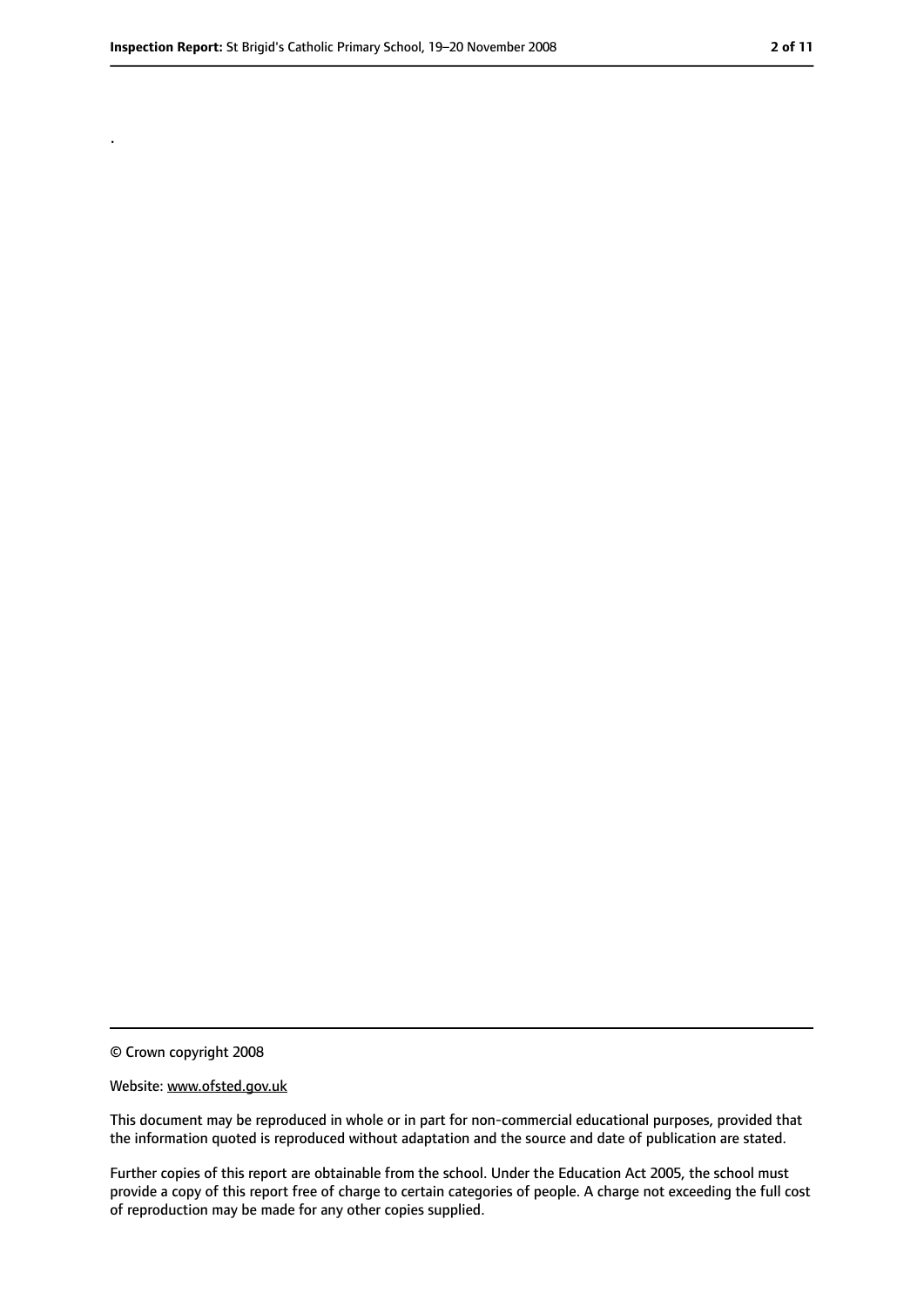.

<sup>©</sup> Crown copyright 2008

Website: www.ofsted.gov.uk

This document may be reproduced in whole or in part for non-commercial educational purposes, provided that the information quoted is reproduced without adaptation and the source and date of publication are stated.

Further copies of this report are obtainable from the school. Under the Education Act 2005, the school must provide a copy of this report free of charge to certain categories of people. A charge not exceeding the full cost of reproduction may be made for any other copies supplied.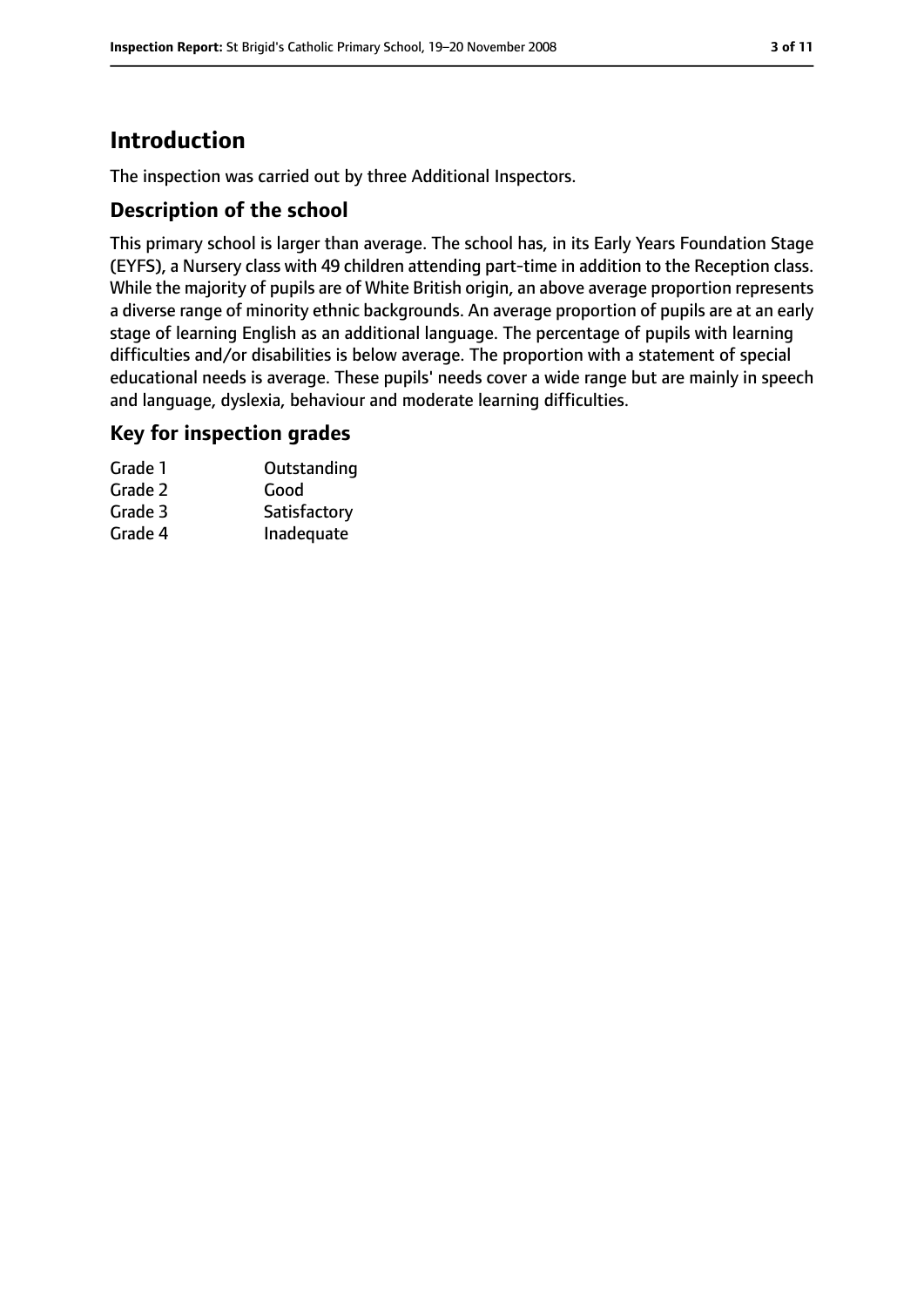# **Introduction**

The inspection was carried out by three Additional Inspectors.

## **Description of the school**

This primary school is larger than average. The school has, in its Early Years Foundation Stage (EYFS), a Nursery class with 49 children attending part-time in addition to the Reception class. While the majority of pupils are of White British origin, an above average proportion represents a diverse range of minority ethnic backgrounds. An average proportion of pupils are at an early stage of learning English as an additional language. The percentage of pupils with learning difficulties and/or disabilities is below average. The proportion with a statement of special educational needs is average. These pupils' needs cover a wide range but are mainly in speech and language, dyslexia, behaviour and moderate learning difficulties.

#### **Key for inspection grades**

| Grade 1 | Outstanding  |
|---------|--------------|
| Grade 2 | Good         |
| Grade 3 | Satisfactory |
| Grade 4 | Inadequate   |
|         |              |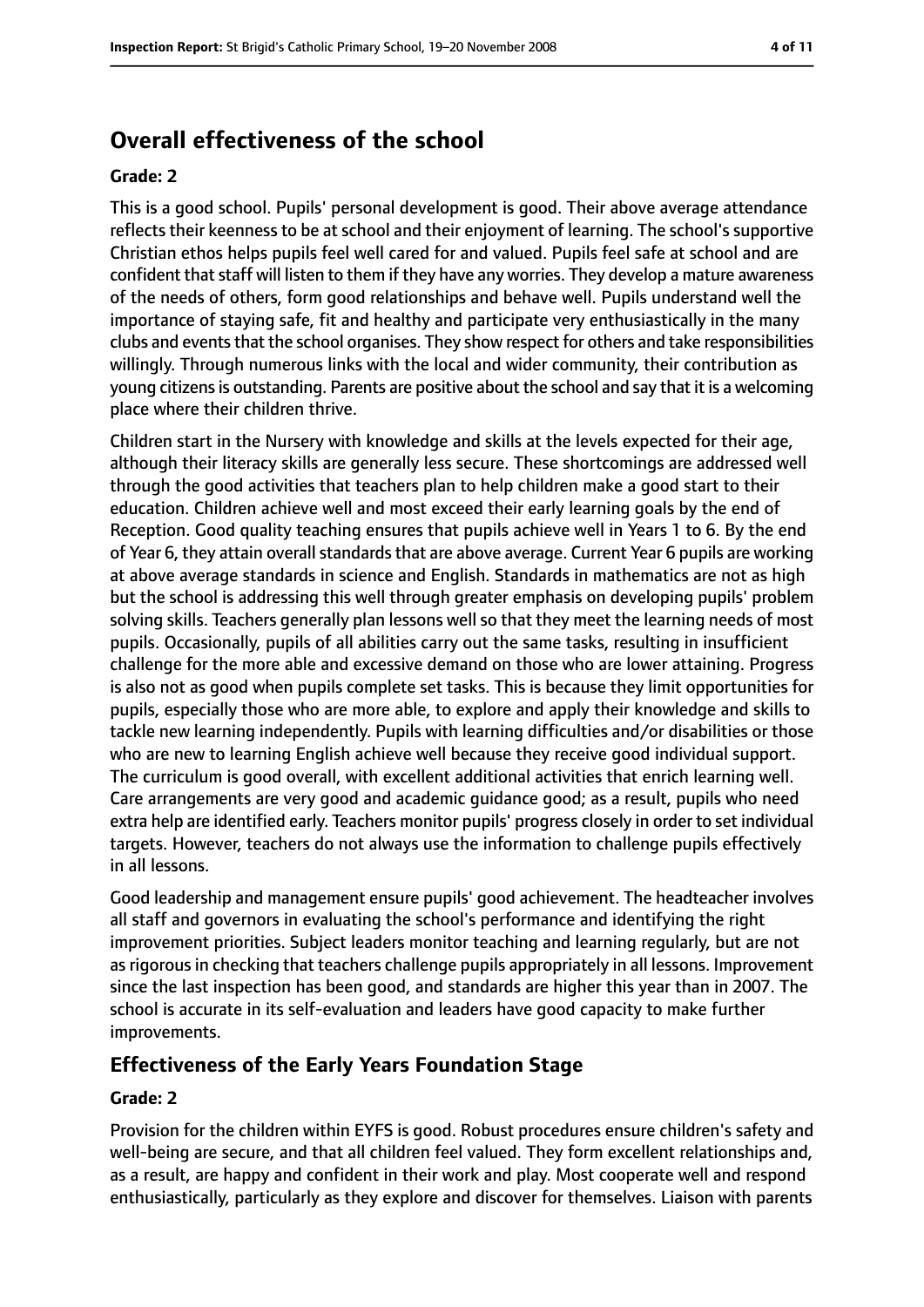# **Overall effectiveness of the school**

#### **Grade: 2**

This is a good school. Pupils' personal development is good. Their above average attendance reflects their keenness to be at school and their enjoyment of learning. The school's supportive Christian ethos helps pupils feel well cared for and valued. Pupils feel safe at school and are confident that staff will listen to them if they have any worries. They develop a mature awareness of the needs of others, form good relationships and behave well. Pupils understand well the importance of staying safe, fit and healthy and participate very enthusiastically in the many clubs and events that the school organises. They show respect for others and take responsibilities willingly. Through numerous links with the local and wider community, their contribution as young citizensis outstanding. Parents are positive about the school and say that it is a welcoming place where their children thrive.

Children start in the Nursery with knowledge and skills at the levels expected for their age, although their literacy skills are generally less secure. These shortcomings are addressed well through the good activities that teachers plan to help children make a good start to their education. Children achieve well and most exceed their early learning goals by the end of Reception. Good quality teaching ensures that pupils achieve well in Years 1 to 6. By the end of Year 6, they attain overall standards that are above average. Current Year 6 pupils are working at above average standards in science and English. Standards in mathematics are not as high but the school is addressing this well through greater emphasis on developing pupils' problem solving skills. Teachers generally plan lessons well so that they meet the learning needs of most pupils. Occasionally, pupils of all abilities carry out the same tasks, resulting in insufficient challenge for the more able and excessive demand on those who are lower attaining. Progress is also not as good when pupils complete set tasks. This is because they limit opportunities for pupils, especially those who are more able, to explore and apply their knowledge and skills to tackle new learning independently. Pupils with learning difficulties and/or disabilities or those who are new to learning English achieve well because they receive good individual support. The curriculum is good overall, with excellent additional activities that enrich learning well. Care arrangements are very good and academic guidance good; as a result, pupils who need extra help are identified early. Teachers monitor pupils' progress closely in order to set individual targets. However, teachers do not always use the information to challenge pupils effectively in all lessons.

Good leadership and management ensure pupils' good achievement. The headteacher involves all staff and governors in evaluating the school's performance and identifying the right improvement priorities. Subject leaders monitor teaching and learning regularly, but are not as rigorous in checking that teachers challenge pupils appropriately in all lessons. Improvement since the last inspection has been good, and standards are higher this year than in 2007. The school is accurate in its self-evaluation and leaders have good capacity to make further improvements.

#### **Effectiveness of the Early Years Foundation Stage**

#### **Grade: 2**

Provision for the children within EYFS is good. Robust procedures ensure children's safety and well-being are secure, and that all children feel valued. They form excellent relationships and, as a result, are happy and confident in their work and play. Most cooperate well and respond enthusiastically, particularly as they explore and discover for themselves. Liaison with parents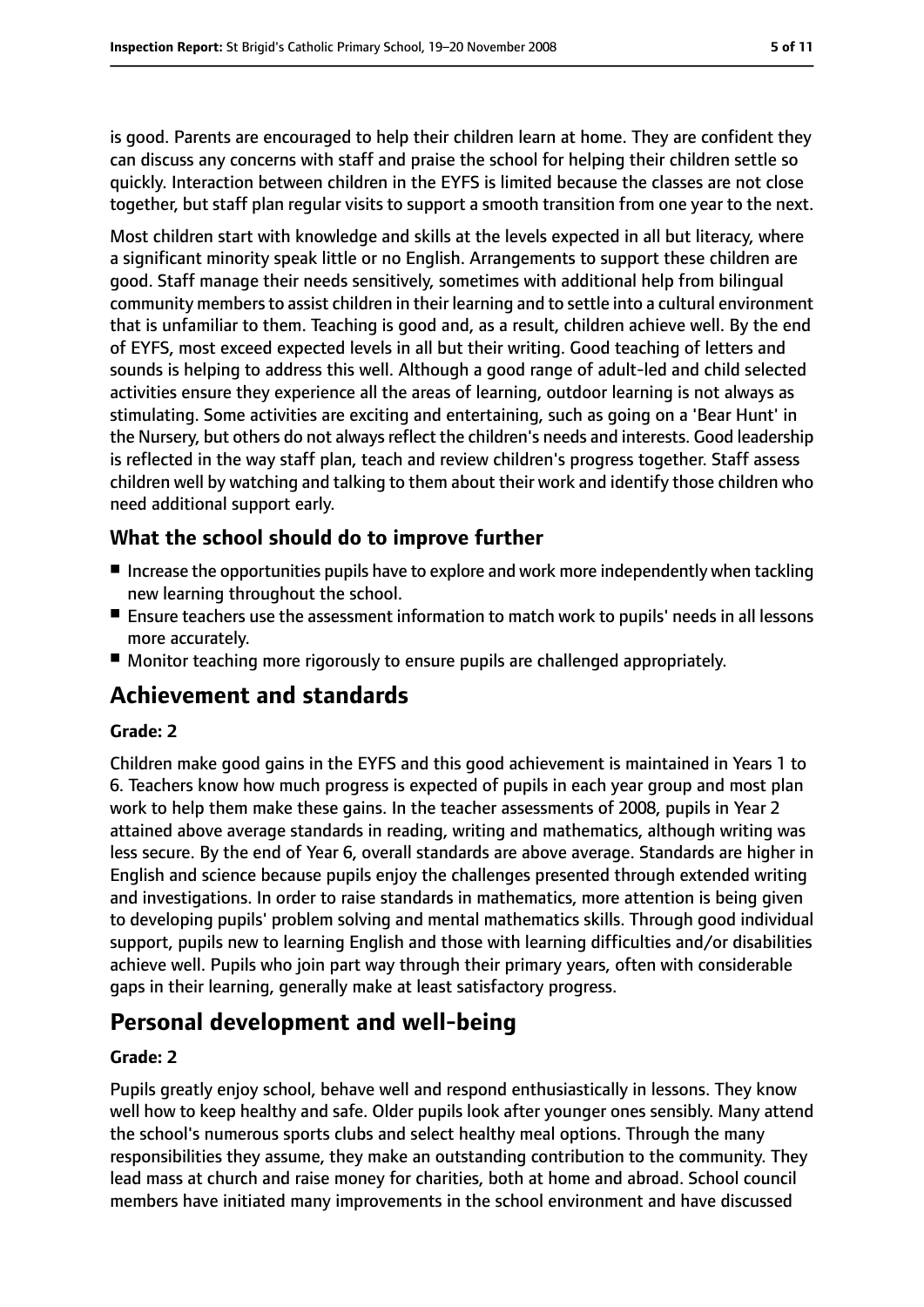is good. Parents are encouraged to help their children learn at home. They are confident they can discuss any concerns with staff and praise the school for helping their children settle so quickly. Interaction between children in the EYFS is limited because the classes are not close together, but staff plan regular visits to support a smooth transition from one year to the next.

Most children start with knowledge and skills at the levels expected in all but literacy, where a significant minority speak little or no English. Arrangements to support these children are good. Staff manage their needs sensitively, sometimes with additional help from bilingual community members to assist children in their learning and to settle into a cultural environment that is unfamiliar to them. Teaching is good and, as a result, children achieve well. By the end of EYFS, most exceed expected levels in all but their writing. Good teaching of letters and sounds is helping to address this well. Although a good range of adult-led and child selected activities ensure they experience all the areas of learning, outdoor learning is not always as stimulating. Some activities are exciting and entertaining, such as going on a 'Bear Hunt' in the Nursery, but others do not always reflect the children's needs and interests. Good leadership is reflected in the way staff plan, teach and review children's progress together. Staff assess children well by watching and talking to them about their work and identify those children who need additional support early.

## **What the school should do to improve further**

- Increase the opportunities pupils have to explore and work more independently when tackling new learning throughout the school.
- Ensure teachers use the assessment information to match work to pupils' needs in all lessons more accurately.
- Monitor teaching more rigorously to ensure pupils are challenged appropriately.

# **Achievement and standards**

#### **Grade: 2**

Children make good gains in the EYFS and this good achievement is maintained in Years 1 to 6. Teachers know how much progress is expected of pupils in each year group and most plan work to help them make these gains. In the teacher assessments of 2008, pupils in Year 2 attained above average standards in reading, writing and mathematics, although writing was less secure. By the end of Year 6, overall standards are above average. Standards are higher in English and science because pupils enjoy the challenges presented through extended writing and investigations. In order to raise standards in mathematics, more attention is being given to developing pupils' problem solving and mental mathematics skills. Through good individual support, pupils new to learning English and those with learning difficulties and/or disabilities achieve well. Pupils who join part way through their primary years, often with considerable gaps in their learning, generally make at least satisfactory progress.

# **Personal development and well-being**

#### **Grade: 2**

Pupils greatly enjoy school, behave well and respond enthusiastically in lessons. They know well how to keep healthy and safe. Older pupils look after younger ones sensibly. Many attend the school's numerous sports clubs and select healthy meal options. Through the many responsibilities they assume, they make an outstanding contribution to the community. They lead mass at church and raise money for charities, both at home and abroad. School council members have initiated many improvements in the school environment and have discussed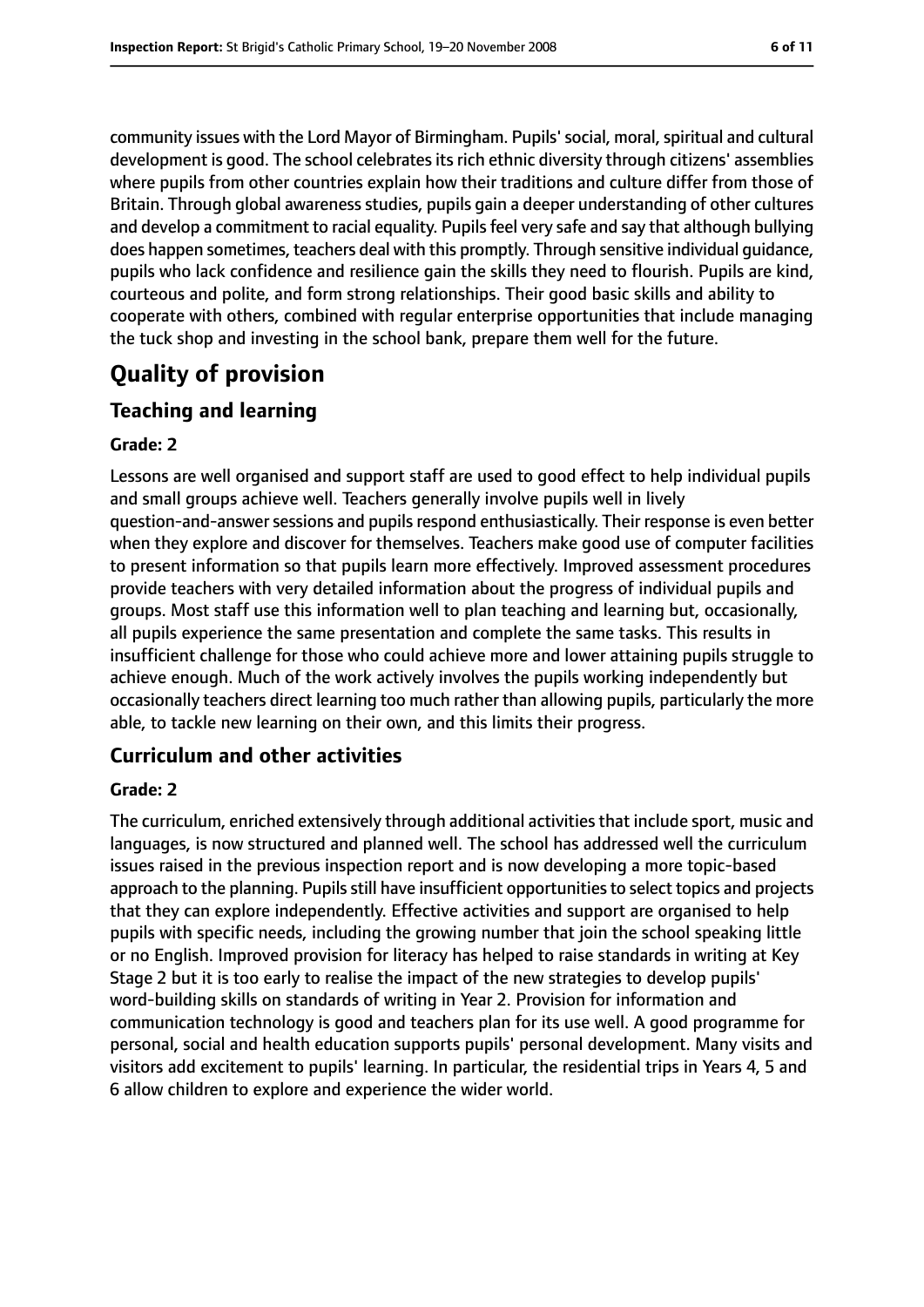community issues with the Lord Mayor of Birmingham. Pupils' social, moral, spiritual and cultural development is good. The school celebrates its rich ethnic diversity through citizens' assemblies where pupils from other countries explain how their traditions and culture differ from those of Britain. Through global awareness studies, pupils gain a deeper understanding of other cultures and develop a commitment to racial equality. Pupils feel very safe and say that although bullying does happen sometimes, teachers deal with this promptly. Through sensitive individual guidance, pupils who lack confidence and resilience gain the skills they need to flourish. Pupils are kind, courteous and polite, and form strong relationships. Their good basic skills and ability to cooperate with others, combined with regular enterprise opportunities that include managing the tuck shop and investing in the school bank, prepare them well for the future.

# **Quality of provision**

## **Teaching and learning**

#### **Grade: 2**

Lessons are well organised and support staff are used to good effect to help individual pupils and small groups achieve well. Teachers generally involve pupils well in lively question-and-answersessions and pupilsrespond enthusiastically. Their response is even better when they explore and discover for themselves. Teachers make good use of computer facilities to present information so that pupils learn more effectively. Improved assessment procedures provide teachers with very detailed information about the progress of individual pupils and groups. Most staff use this information well to plan teaching and learning but, occasionally, all pupils experience the same presentation and complete the same tasks. This results in insufficient challenge for those who could achieve more and lower attaining pupils struggle to achieve enough. Much of the work actively involves the pupils working independently but occasionally teachers direct learning too much rather than allowing pupils, particularly the more able, to tackle new learning on their own, and this limits their progress.

#### **Curriculum and other activities**

#### **Grade: 2**

The curriculum, enriched extensively through additional activitiesthat include sport, music and languages, is now structured and planned well. The school has addressed well the curriculum issues raised in the previous inspection report and is now developing a more topic-based approach to the planning. Pupils still have insufficient opportunities to select topics and projects that they can explore independently. Effective activities and support are organised to help pupils with specific needs, including the growing number that join the school speaking little or no English. Improved provision for literacy has helped to raise standards in writing at Key Stage 2 but it is too early to realise the impact of the new strategies to develop pupils' word-building skills on standards of writing in Year 2. Provision for information and communication technology is good and teachers plan for its use well. A good programme for personal, social and health education supports pupils' personal development. Many visits and visitors add excitement to pupils' learning. In particular, the residential trips in Years 4, 5 and 6 allow children to explore and experience the wider world.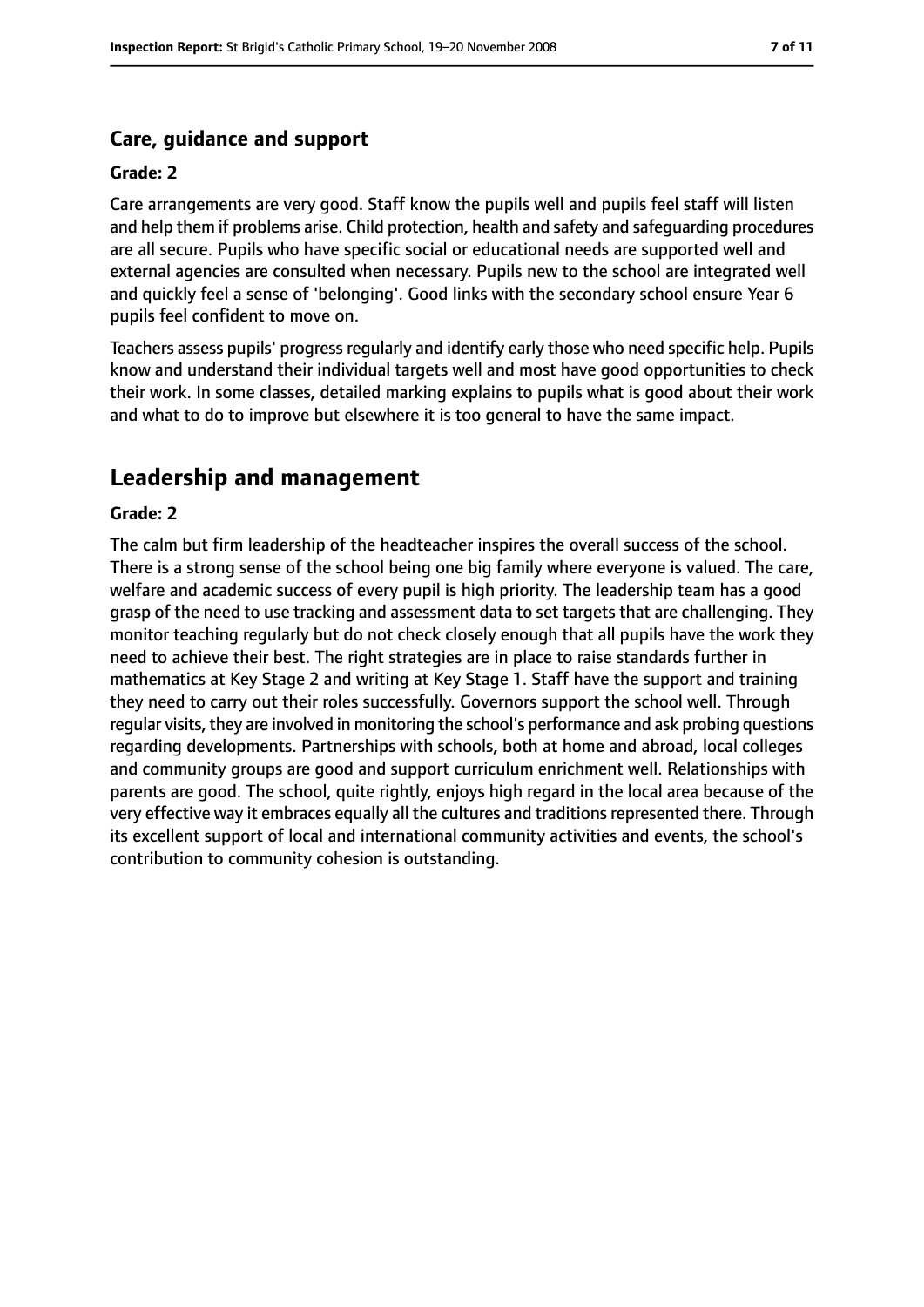## **Care, guidance and support**

#### **Grade: 2**

Care arrangements are very good. Staff know the pupils well and pupils feel staff will listen and help them if problems arise. Child protection, health and safety and safeguarding procedures are all secure. Pupils who have specific social or educational needs are supported well and external agencies are consulted when necessary. Pupils new to the school are integrated well and quickly feel a sense of 'belonging'. Good links with the secondary school ensure Year 6 pupils feel confident to move on.

Teachers assess pupils' progress regularly and identify early those who need specific help. Pupils know and understand their individual targets well and most have good opportunities to check their work. In some classes, detailed marking explains to pupils what is good about their work and what to do to improve but elsewhere it is too general to have the same impact.

# **Leadership and management**

#### **Grade: 2**

The calm but firm leadership of the headteacher inspires the overall success of the school. There is a strong sense of the school being one big family where everyone is valued. The care, welfare and academic success of every pupil is high priority. The leadership team has a good grasp of the need to use tracking and assessment data to set targets that are challenging. They monitor teaching regularly but do not check closely enough that all pupils have the work they need to achieve their best. The right strategies are in place to raise standards further in mathematics at Key Stage 2 and writing at Key Stage 1. Staff have the support and training they need to carry out their roles successfully. Governors support the school well. Through regular visits, they are involved in monitoring the school's performance and ask probing questions regarding developments. Partnerships with schools, both at home and abroad, local colleges and community groups are good and support curriculum enrichment well. Relationships with parents are good. The school, quite rightly, enjoys high regard in the local area because of the very effective way it embraces equally all the cultures and traditionsrepresented there. Through its excellent support of local and international community activities and events, the school's contribution to community cohesion is outstanding.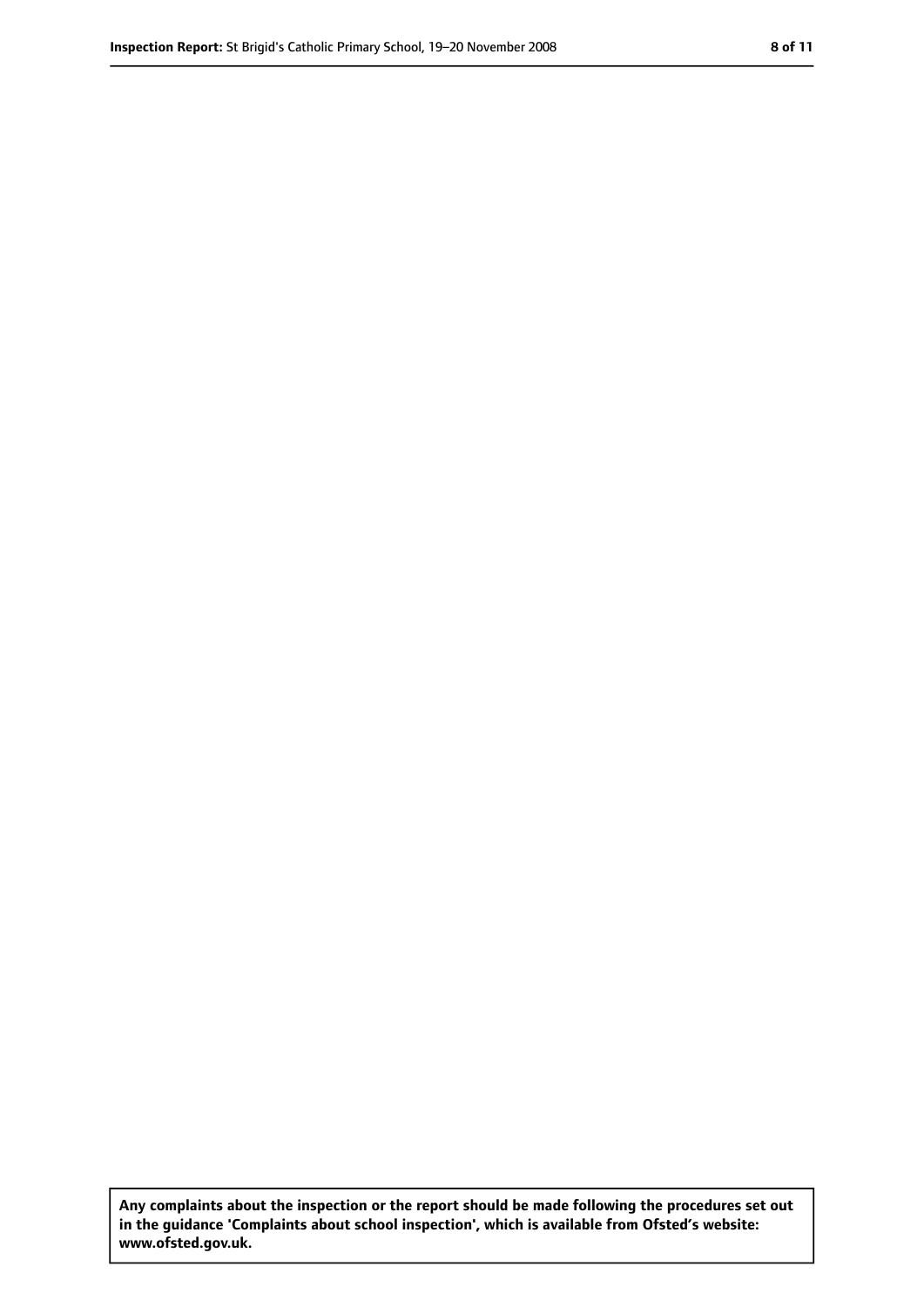**Any complaints about the inspection or the report should be made following the procedures set out in the guidance 'Complaints about school inspection', which is available from Ofsted's website: www.ofsted.gov.uk.**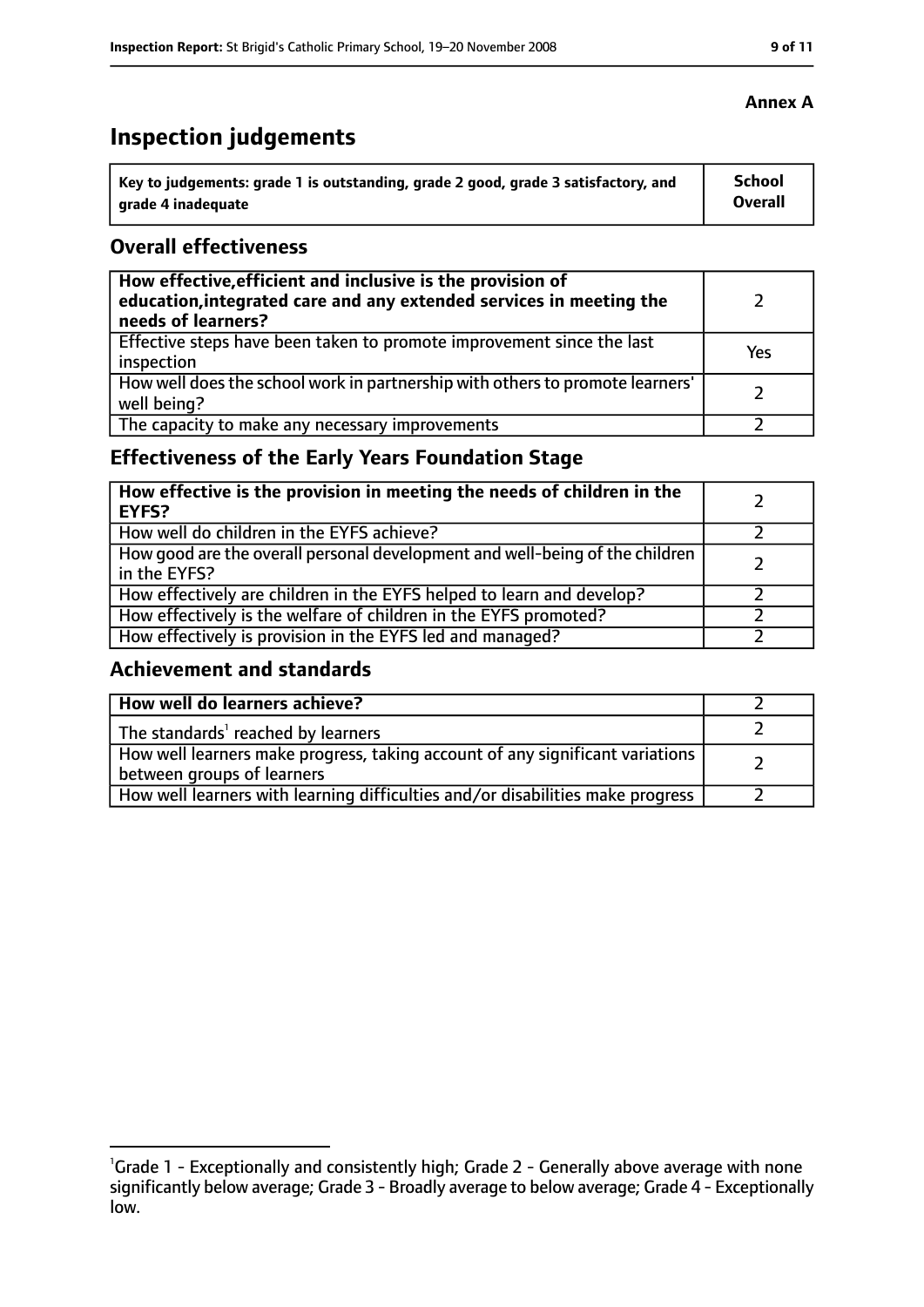# **Inspection judgements**

| Key to judgements: grade 1 is outstanding, grade 2 good, grade 3 satisfactory, and | <b>School</b>  |
|------------------------------------------------------------------------------------|----------------|
| arade 4 inadequate                                                                 | <b>Overall</b> |

### **Overall effectiveness**

| How effective, efficient and inclusive is the provision of<br>education, integrated care and any extended services in meeting the<br>needs of learners? |     |
|---------------------------------------------------------------------------------------------------------------------------------------------------------|-----|
| Effective steps have been taken to promote improvement since the last<br>inspection                                                                     | Yes |
| How well does the school work in partnership with others to promote learners'<br>well being?                                                            |     |
| The capacity to make any necessary improvements                                                                                                         |     |

## **Effectiveness of the Early Years Foundation Stage**

| How effective is the provision in meeting the needs of children in the<br><b>EYFS?</b>       |  |
|----------------------------------------------------------------------------------------------|--|
| How well do children in the EYFS achieve?                                                    |  |
| How good are the overall personal development and well-being of the children<br>in the EYFS? |  |
| How effectively are children in the EYFS helped to learn and develop?                        |  |
| How effectively is the welfare of children in the EYFS promoted?                             |  |
| How effectively is provision in the EYFS led and managed?                                    |  |

## **Achievement and standards**

| How well do learners achieve?                                                                               |  |
|-------------------------------------------------------------------------------------------------------------|--|
| The standards <sup>1</sup> reached by learners                                                              |  |
| How well learners make progress, taking account of any significant variations<br>between groups of learners |  |
| How well learners with learning difficulties and/or disabilities make progress                              |  |

<sup>&</sup>lt;sup>1</sup>Grade 1 - Exceptionally and consistently high; Grade 2 - Generally above average with none significantly below average; Grade 3 - Broadly average to below average; Grade 4 - Exceptionally low.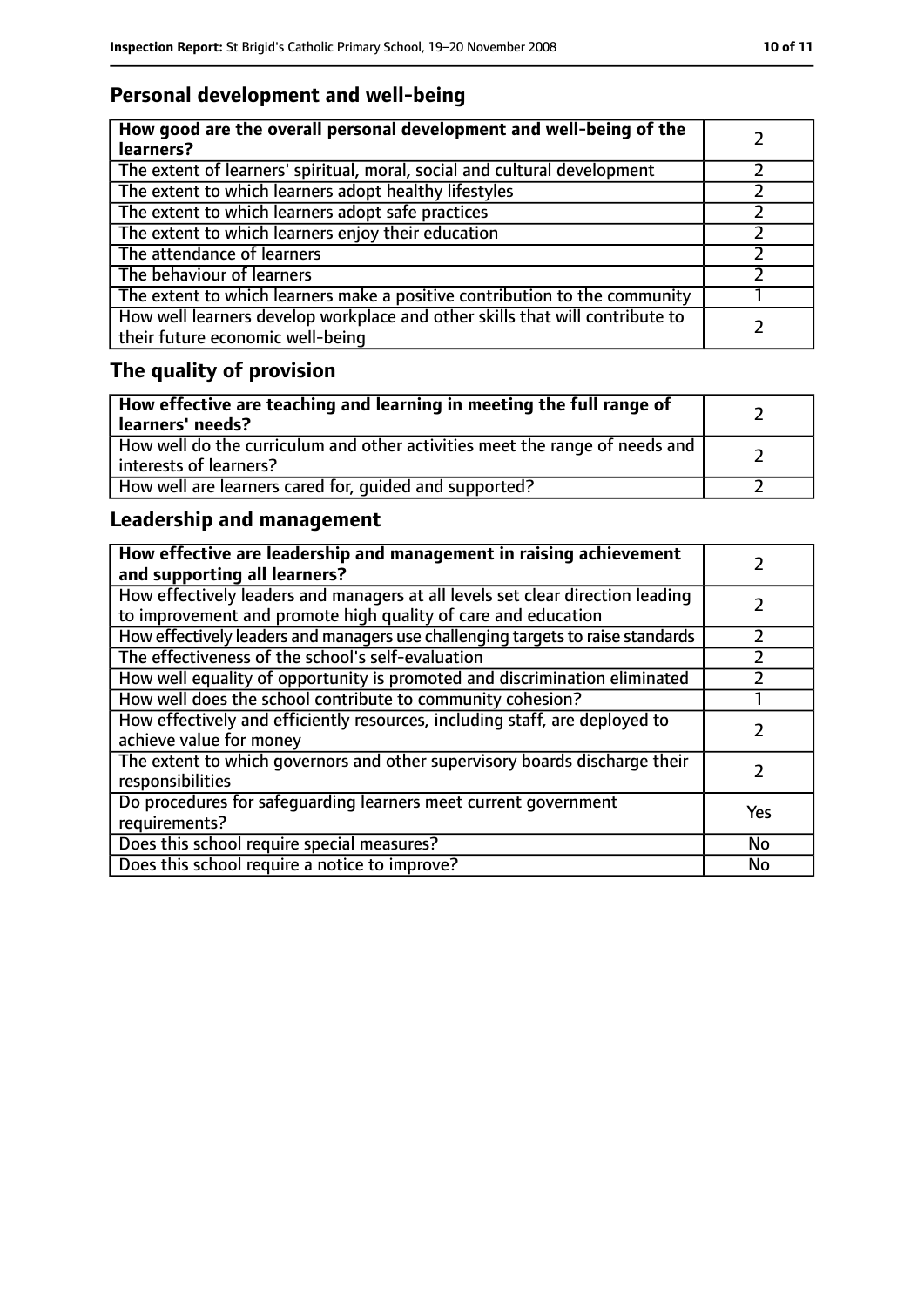# **Personal development and well-being**

| How good are the overall personal development and well-being of the<br>learners?                                 |  |
|------------------------------------------------------------------------------------------------------------------|--|
| The extent of learners' spiritual, moral, social and cultural development                                        |  |
| The extent to which learners adopt healthy lifestyles                                                            |  |
| The extent to which learners adopt safe practices                                                                |  |
| The extent to which learners enjoy their education                                                               |  |
| The attendance of learners                                                                                       |  |
| The behaviour of learners                                                                                        |  |
| The extent to which learners make a positive contribution to the community                                       |  |
| How well learners develop workplace and other skills that will contribute to<br>their future economic well-being |  |

# **The quality of provision**

| How effective are teaching and learning in meeting the full range of<br>learners' needs?              |  |
|-------------------------------------------------------------------------------------------------------|--|
| How well do the curriculum and other activities meet the range of needs and<br>interests of learners? |  |
| How well are learners cared for, quided and supported?                                                |  |

## **Leadership and management**

| How effective are leadership and management in raising achievement<br>and supporting all learners?                                              |     |
|-------------------------------------------------------------------------------------------------------------------------------------------------|-----|
| How effectively leaders and managers at all levels set clear direction leading<br>to improvement and promote high quality of care and education |     |
| How effectively leaders and managers use challenging targets to raise standards                                                                 |     |
| The effectiveness of the school's self-evaluation                                                                                               |     |
| How well equality of opportunity is promoted and discrimination eliminated                                                                      |     |
| How well does the school contribute to community cohesion?                                                                                      |     |
| How effectively and efficiently resources, including staff, are deployed to<br>achieve value for money                                          |     |
| The extent to which governors and other supervisory boards discharge their<br>responsibilities                                                  |     |
| Do procedures for safequarding learners meet current government<br>requirements?                                                                | Yes |
| Does this school require special measures?                                                                                                      | No  |
| Does this school require a notice to improve?                                                                                                   | No  |